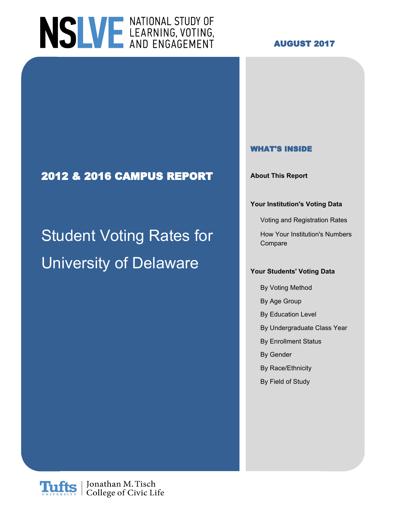# NSLVE LEARNING, VOTING,

#### **AUGUST 2017**

### **2012 & 2016 CAMPUS REPORT About This Report**

# Student Voting Rates for How Your Institution's Numbers University of Delaware

#### **WHAT'S INSIDE**

#### **Your Institution's Voting Data**

Voting and Registration Rates

Compare

#### **Your Students' Voting Data**

- By Voting Method
- By Age Group
- By Education Level
- By Undergraduate Class Year
- By Enrollment Status
- By Gender
- By Race/Ethnicity
- By Field of Study

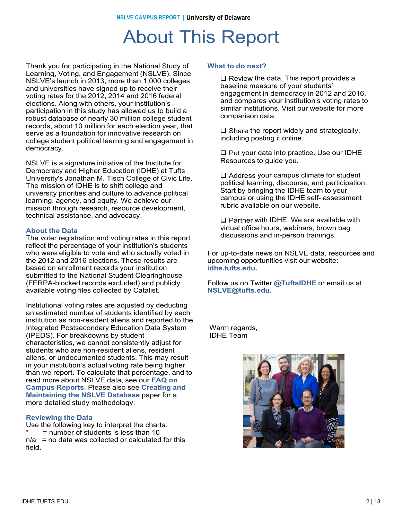### About This Report

Thank you for participating in the National Study of Learning, Voting, and Engagement (NSLVE). Since Learning, Voting, and Engagement (NSLVE). Since NSLVE's launch in 2013, more than 1,000 colleges NSLVE's launch in 2013, more than 1,000 colleges and universities have signed up to receive their and universities have signed up to receive their voting rates for the 2012, 2014 and 2016 federal voting rates for the 2012, 2014 and 2016 elections. elections. Along with others, your institution's Along with others, your institution's participation in participation in this study has allowed us to build a this study has allowed us to build a robust database robust database of nearly 30 million college student robust database or nearly 30 million college student<br>records, about 10 million for each election year, that records, about To million for each election year,<br>serve as a foundation for innovative research on serve as a foundation for innovative research<br>college student political learning and engager college student political learning and engagement in<br>domocracy democracy. democracy. Thank you for participating in the National Study of

NSLVE is a signature initiative of the Institute for Democracy and Higher Education (IDHE) at Tufts Democracy and Higher Education (IDHE) at the University's Jonathan M. Tisch College of Civic Life. Oniversity's bonatharm with iscribediege of Civic i<br>The mission of IDHE is to shift college and mic mission of IDHE is to shift college and<br>university prierities and culture to advance politic university priorities and culture to advance political<br>learning, agonov, and equity, We achieve our icarinity, agency, and equity. We achieve ou<br>mission through research, resource develop mission through research, resource development,<br>technical assistance, and advessey technical assistance, and advocacy. NSLVE is a signature initiative of the Institute for learning, agency, and equity. We achieve our

#### **About the Data**

**About the Data** The voter registration and voting rates in this report The voter registration and voting rates in this report reflect the percentage of your institution's students reflect the percentage of your institution's students who were eligible to vote and who actually voted in who were eligible to vote and who actually voted in<br>the 2012 and 2016 elections. These results are the 2012 and 2016 elections. These results are based on enrollment records your institution based on enrollment records your institution submitted to the National Student Clearinghouse submitted to the National Student Clearinghouse (FERPA-blocked records excluded) and publicly (FERPA-blocked records excluded) and publicly<br>available veting files collected by Catalist available voting files collected by Catalist. available voting files collected by Catalist.

mstitutional voting rates are adjusted by deducting<br>an estimated number of students identified by each an estimated number or students identified by each<br>institution as non-resident aliens and reported to the institution as non-resident allens and reported to the<br>Integrated Postsecondary Education Data System miegrated Fostsecondary Education Data<br>(IPEDS). For breakdowns by student (in ED3). For breakdowns by student<br>characteristics, we cannot consistently adjust for characteristics, we cannot consistently adjust for<br>students who are non-resident aliens, resident students who are non-resident aliens, resident<br>aliens, or undocumented students. This may result alleris, or undocumented students. This may result<br>in your institution's actual voting rate being higher in your institution's actual voting rate being nigher<br>than we report. To calculate that percentage, and to **Reports**. read more about NSLVE data, see our **FAQ on** Please also see our NSLVE Method (insert link) for **Maintaining the NSLVE Database** paper for a **Mamtaning the NSEVE Database**<br>more detailed study methodology. Institutional voting rates are adjusted by deducting **Campus Reports**. Please also see **Creating and**

#### **Reviewing the Data Reviewing the Data**

Use the following key to interpret the charts: Use the following key to interpret the charts: \* = number of students is less than 10 \* = number of students is less than 10 n/a = no data was collected or calculated for this n/a = no data was collected or calculated for this field**.** field**.**

#### **What to do next? What to do next?**

 $\square$  Review the data. This report provides a hospital measure of vour students' baseline measure of your students' engagement in democracy in 2012 and 2016, engagement in democracy in 2012 and 2016,<br>and compares your institution's voting rates to and compares your institution's voting rates to<br>eimiler institutions. Vieit our website for mere similar institutions. Visit our website for more<br>comparison data comparison data. comparison data. baseline measure of your students'

 $\square$  Share the report widely and strategically, including posting it online.

 $\square$  Put your data into practice. Use our IDHE Resources to guide you.

 $\square$  Address your campus climate for student political learning, discourse, and participation.<br>Start by bringing the JDHE team to your political by pringing the IDHE team to your<br>compus or using the IDHE self-assessment campus or using the IDHE self- assessment<br>rubric available on our website rubric available on our website. Start by bringing the IDHE team to your

**The Partner with IDHE. We are available with IDHE.**<br>With all office bours, we binare, brown bog virtual office hours, webinars, brown bag virtual office hours, webinars, brown bag discussions and in-person trainings. discussions and in-person trainings.  $\Box$  Partner with IDHE. We are available with

r or up-to-date news on NSLVE data, resources and<br>upcoming opportunities visit our website: upcoming opportunities visit our website: upcoming opportunities visit our website: **idhe.tufts.edu.** For up-to-date news on NSLVE data, resources and **idhe.tufts.edu.**

**@TuftsIDHE.** Follow us on Twitter @TuftsIDHE or email us at<br>NSLVE@tufte.odu **NSLVE@tufts.edu. NSLVE@tufts.edu.**

warm regarus,<br>INHE Toom IDHE Team IDHE Team Warm regards,

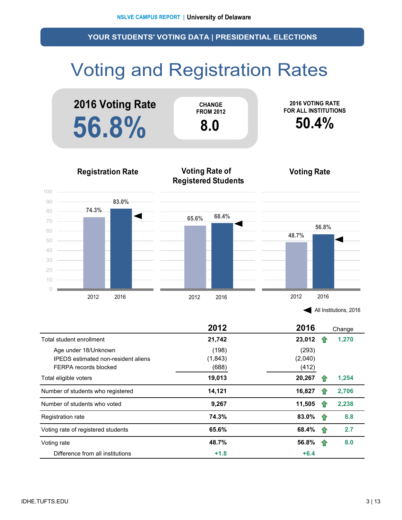### Voting and Registration Rates



|                                                                                             | 2012                       | 2016                      | Change |
|---------------------------------------------------------------------------------------------|----------------------------|---------------------------|--------|
| Total student enrollment                                                                    | 21,742                     | 23,012                    | 1,270  |
| Age under 18/Unknown<br><b>IPEDS</b> estimated non-resident aliens<br>FERPA records blocked | (198)<br>(1, 843)<br>(688) | (293)<br>(2,040)<br>(412) |        |
| Total eligible voters                                                                       | 19,013                     | 20,267                    | 1,254  |
| Number of students who registered                                                           | 14,121                     | 16,827                    | 2,706  |
| Number of students who voted                                                                | 9,267                      | 11,505                    | 2,238  |
| Registration rate                                                                           | 74.3%                      | 83.0%<br>1.               | 8.8    |
| Voting rate of registered students                                                          | 65.6%                      | 68.4%<br>1P               | 2.7    |
| Voting rate                                                                                 | 48.7%                      | 56.8%<br>10               | 8.0    |
| Difference from all institutions                                                            | $+1.8$                     | $+6.4$                    |        |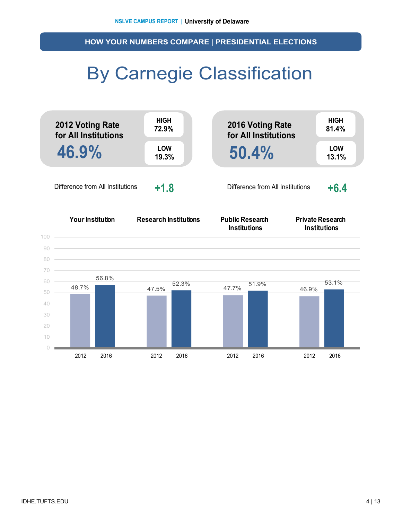**HOW YOUR NUMBERS COMPARE | PRESIDENTIAL ELECTIONS**

### By Carnegie Classification

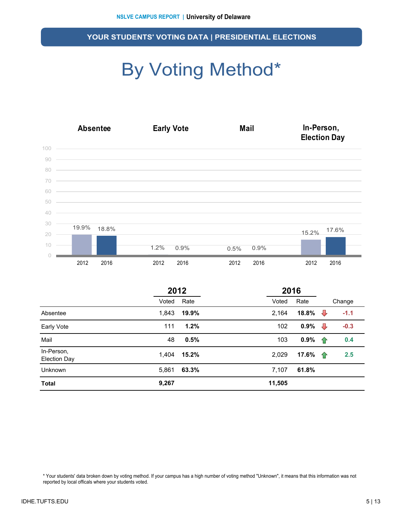## By Voting Method\*



|                                   | 2012  |       |        | 2016  |                |        |
|-----------------------------------|-------|-------|--------|-------|----------------|--------|
|                                   | Voted | Rate  | Voted  | Rate  |                | Change |
| Absentee                          | 1,843 | 19.9% | 2,164  | 18.8% | $\overline{v}$ | $-1.1$ |
| Early Vote                        | 111   | 1.2%  | 102    | 0.9%  | ┺              | $-0.3$ |
| Mail                              | 48    | 0.5%  | 103    | 0.9%  | ⇑              | 0.4    |
| In-Person,<br><b>Election Day</b> | 1,404 | 15.2% | 2,029  | 17.6% | 企              | 2.5    |
| Unknown                           | 5,861 | 63.3% | 7,107  | 61.8% |                |        |
| <b>Total</b>                      | 9,267 |       | 11,505 |       |                |        |

\* Your students' data broken down by voting method. If your campus has a high number of voting method "Unknown", it means that this information was not reported by local officals where your students voted.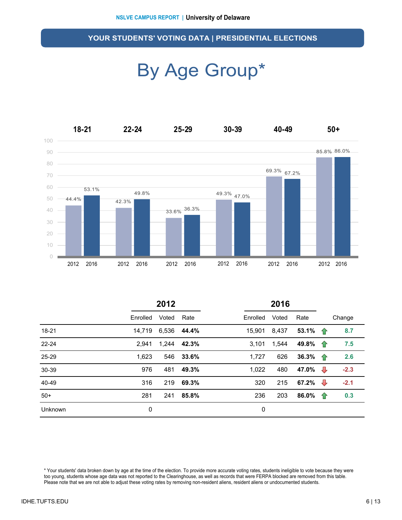### By Age Group\*



|           | 2012     |       |       | 2016     |       |                          |                 |        |
|-----------|----------|-------|-------|----------|-------|--------------------------|-----------------|--------|
|           | Enrolled | Voted | Rate  | Enrolled | Voted | Rate                     |                 | Change |
| 18-21     | 14.719   | 6,536 | 44.4% | 15,901   | 8,437 | 53.1% $\hat{\textbf{r}}$ |                 | 8.7    |
| $22 - 24$ | 2.941    | 1,244 | 42.3% | 3.101    | 1,544 | 49.8% 个                  |                 | 7.5    |
| 25-29     | 1,623    | 546   | 33.6% | 1,727    | 626   | 36.3% $\uparrow$         |                 | 2.6    |
| 30-39     | 976      | 481   | 49.3% | 1,022    | 480   | 47.0% $\sqrt{ }$         |                 | $-2.3$ |
| 40-49     | 316      | 219   | 69.3% | 320      | 215   | 67.2% $\sqrt{ }$         |                 | $-2.1$ |
| $50+$     | 281      | 241   | 85.8% | 236      | 203   | 86.0%                    | - <del>17</del> | 0.3    |
| Unknown   | 0        |       |       | 0        |       |                          |                 |        |

\* Your students' data broken down by age at the time of the election. To provide more accurate voting rates, students ineligible to vote because they were too young, students whose age data was not reported to the Clearinghouse, as well as records that were FERPA blocked are removed from this table. Please note that we are not able to adjust these voting rates by removing non-resident aliens, resident aliens or undocumented students.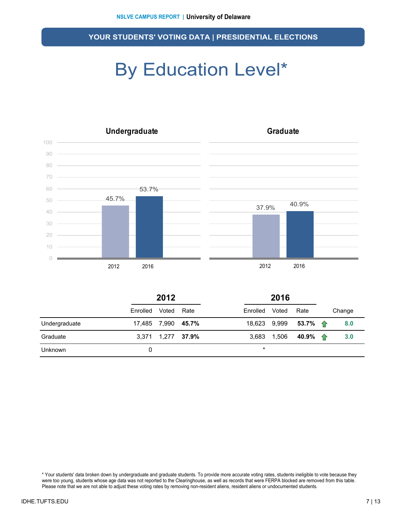### By Education Level\*



|                | 2012     |                    |      |              | 2016  |                              |  |        |
|----------------|----------|--------------------|------|--------------|-------|------------------------------|--|--------|
|                | Enrolled | Voted              | Rate | Enrolled     | Voted | Rate                         |  | Change |
| Undergraduate  |          | 17,485 7,990 45.7% |      | 18,623 9,999 |       | 53.7% $\uparrow$             |  | 8.0    |
| Graduate       |          | 3,371 1,277 37.9%  |      |              |       | 3,683 1,506 40.9% $\uparrow$ |  | 3.0    |
| <b>Unknown</b> |          |                    |      | $\star$      |       |                              |  |        |

\* Your students' data broken down by undergraduate and graduate students. To provide more accurate voting rates, students ineligible to vote because they were too young, students whose age data was not reported to the Clearinghouse, as well as records that were FERPA blocked are removed from this table. Please note that we are not able to adjust these voting rates by removing non-resident aliens, resident aliens or undocumented students.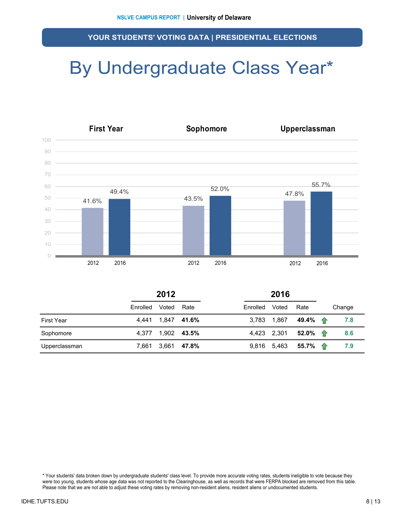### By Undergraduate Class Year\*



|                   | 2012     |                   |             | 2016     |       |                  |        |
|-------------------|----------|-------------------|-------------|----------|-------|------------------|--------|
|                   | Enrolled | Voted             | Rate        | Enrolled | Voted | Rate             | Change |
| <b>First Year</b> |          | 4.441 1.847 41.6% |             | 3.783    | 1,867 | 49.4% 全          | 7.8    |
| Sophomore         | 4.377    |                   | 1,902 43.5% | 4.423    | 2,301 | 52.0% 1          | 8.6    |
| Upperclassman     | 7.661    | 3,661             | 47.8%       | 9.816    | 5,463 | 55.7% $\uparrow$ | 7.9    |

\* Your students' data broken down by undergraduate students' class level. To provide more accurate voting rates, students ineligible to vote because they were too young, students whose age data was not reported to the Clearinghouse, as well as records that were FERPA blocked are removed from this table. Please note that we are not able to adjust these voting rates by removing non-resident aliens, resident aliens or undocumented students.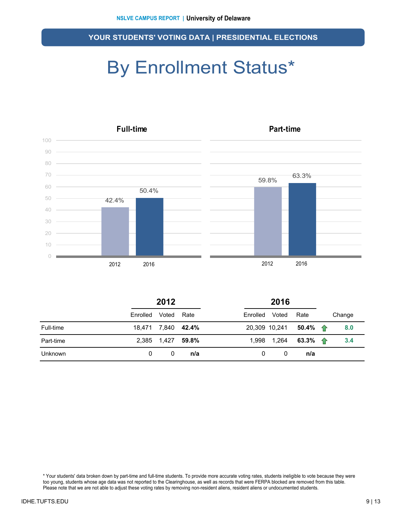### By Enrollment Status\*



|           | 2012               |             |       | 2016     |               |                                   |  |        |
|-----------|--------------------|-------------|-------|----------|---------------|-----------------------------------|--|--------|
|           | Enrolled           | Voted       | Rate  | Enrolled | Voted         | Rate                              |  | Change |
| Full-time | 18,471 7,840 42.4% |             |       |          | 20,309 10,241 | 50.4% $\textcolor{red}{\bigcirc}$ |  | 8.0    |
| Part-time |                    | 2,385 1,427 | 59.8% |          | 1,998 1,264   | 63.3% $\uparrow$                  |  | 3.4    |
| Unknown   | 0                  | 0           | n/a   | 0        | 0             | n/a                               |  |        |

\* Your students' data broken down by part-time and full-time students. To provide more accurate voting rates, students ineligible to vote because they were too young, students whose age data was not reported to the Clearinghouse, as well as records that were FERPA blocked are removed from this table. Please note that we are not able to adjust these voting rates by removing non-resident aliens, resident aliens or undocumented students.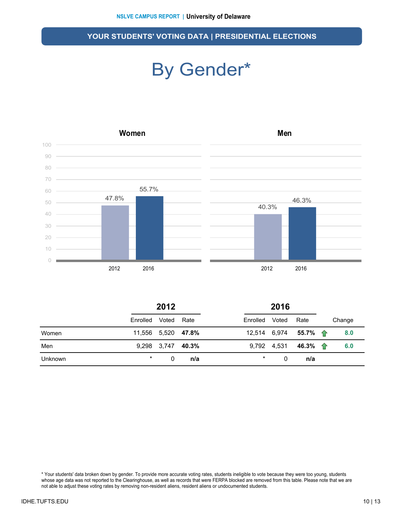### By Gender\*



|         | 2012               |                   |      | 2016     |       |                                      |        |
|---------|--------------------|-------------------|------|----------|-------|--------------------------------------|--------|
|         | Enrolled           | Voted             | Rate | Enrolled | Voted | Rate                                 | Change |
| Women   | 11,556 5,520 47.8% |                   |      |          |       | 12,514 6,974 <b>55.7%</b> $\uparrow$ | 8.0    |
| Men     |                    | 9,298 3,747 40.3% |      |          |       | 9,792 4,531 46.3% $\uparrow$         | 6.0    |
| Unknown | $\star$            | 0                 | n/a  | $\star$  | 0     | n/a                                  |        |

\* Your students' data broken down by gender. To provide more accurate voting rates, students ineligible to vote because they were too young, students whose age data was not reported to the Clearinghouse, as well as records that were FERPA blocked are removed from this table. Please note that we are not able to adjust these voting rates by removing non-resident aliens, resident aliens or undocumented students.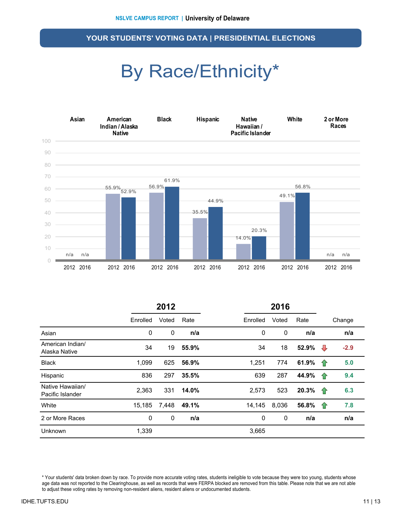### By Race/Ethnicity\*



|                                      | 2012     |       |       |          | 2016  |       |    |        |
|--------------------------------------|----------|-------|-------|----------|-------|-------|----|--------|
|                                      | Enrolled | Voted | Rate  | Enrolled | Voted | Rate  |    | Change |
| Asian                                | 0        | 0     | n/a   | 0        | 0     | n/a   |    | n/a    |
| American Indian/<br>Alaska Native    | 34       | 19    | 55.9% | 34       | 18    | 52.9% | ⊕  | $-2.9$ |
| <b>Black</b>                         | 1,099    | 625   | 56.9% | 1.251    | 774   | 61.9% | 企  | 5.0    |
| Hispanic                             | 836      | 297   | 35.5% | 639      | 287   | 44.9% | ⇧  | 9.4    |
| Native Hawaiian/<br>Pacific Islander | 2,363    | 331   | 14.0% | 2,573    | 523   | 20.3% | 企  | 6.3    |
| White                                | 15,185   | 7,448 | 49.1% | 14,145   | 8,036 | 56.8% | 10 | 7.8    |
| 2 or More Races                      | 0        | 0     | n/a   | 0        | 0     | n/a   |    | n/a    |
| Unknown                              | 1,339    |       |       | 3,665    |       |       |    |        |

\* Your students' data broken down by race. To provide more accurate voting rates, students ineligible to vote because they were too young, students whose age data was not reported to the Clearinghouse, as well as records that were FERPA blocked are removed from this table. Please note that we are not able to adjust these voting rates by removing non-resident aliens, resident aliens or undocumented students.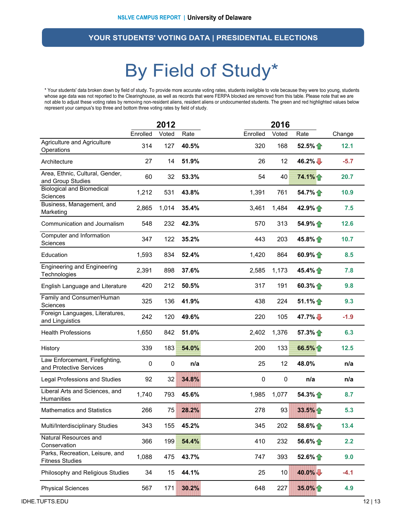### By Field of Study\*

\* Your students' data broken down by field of study. To provide more accurate voting rates, students ineligible to vote because they were too young, students whose age data was not reported to the Clearinghouse, as well as records that were FERPA blocked are removed from this table. Please note that we are not able to adjust these voting rates by removing non-resident aliens, resident aliens or undocumented students. The green and red highlighted values below represent your campus's top three and bottom three voting rates by field of study.

|                                                           | 2012             |                  |       | 2016     |       |                     |        |  |
|-----------------------------------------------------------|------------------|------------------|-------|----------|-------|---------------------|--------|--|
|                                                           | Enrolled         | Voted            | Rate  | Enrolled | Voted | Rate                | Change |  |
| Agriculture and Agriculture<br>Operations                 | 314              | 127              | 40.5% | 320      | 168   | 52.5%               | 12.1   |  |
| Architecture                                              | 27               | 14               | 51.9% | 26       | 12    | 46.2% $\frac{1}{2}$ | $-5.7$ |  |
| Area, Ethnic, Cultural, Gender,<br>and Group Studies      | 60               | 32               | 53.3% | 54       | 40    | 74.1%               | 20.7   |  |
| <b>Biological and Biomedical</b><br>Sciences              | 1,212            | 531              | 43.8% | 1,391    | 761   | 54.7% 个             | 10.9   |  |
| Business, Management, and<br>Marketing                    | 2,865            | 1,014            | 35.4% | 3,461    | 1,484 | 42.9% 个             | 7.5    |  |
| Communication and Journalism                              | 548              | 232              | 42.3% | 570      | 313   | 54.9%               | 12.6   |  |
| Computer and Information<br>Sciences                      | 347              | 122              | 35.2% | 443      | 203   | 45.8% $\bigcap$     | 10.7   |  |
| Education                                                 | 1,593            | 834              | 52.4% | 1,420    | 864   | 60.9% $\bigcap$     | 8.5    |  |
| <b>Engineering and Engineering</b><br>Technologies        | 2,391            | 898              | 37.6% | 2,585    | 1,173 | 45.4% 个             | 7.8    |  |
| English Language and Literature                           | 420              | 212              | 50.5% | 317      | 191   | 60.3% $\bigoplus$   | 9.8    |  |
| Family and Consumer/Human<br>Sciences                     | 325              | 136              | 41.9% | 438      | 224   | 51.1%               | 9.3    |  |
| Foreign Languages, Literatures,<br>and Linguistics        | 242              | 120              | 49.6% | 220      | 105   | $47.7\%$            | $-1.9$ |  |
| <b>Health Professions</b>                                 | 1,650            | 842              | 51.0% | 2,402    | 1,376 | 57.3%               | 6.3    |  |
| History                                                   | 339              | 183              | 54.0% | 200      | 133   | 66.5%               | 12.5   |  |
| Law Enforcement, Firefighting,<br>and Protective Services | $\boldsymbol{0}$ | $\boldsymbol{0}$ | n/a   | 25       | 12    | 48.0%               | n/a    |  |
| Legal Professions and Studies                             | 92               | 32               | 34.8% | 0        | 0     | n/a                 | n/a    |  |
| Liberal Arts and Sciences, and<br>Humanities              | 1,740            | 793              | 45.6% | 1,985    | 1,077 | $54.3\%$            | 8.7    |  |
| <b>Mathematics and Statistics</b>                         | 266              | 75               | 28.2% | 278      | 93    | 33.5%               | 5.3    |  |
| Multi/Interdisciplinary Studies                           | 343              | 155              | 45.2% | 345      | 202   | $58.6\%$            | 13.4   |  |
| Natural Resources and<br>Conservation                     | 366              | 199              | 54.4% | 410      | 232   | 56.6% $\bigoplus$   | 2.2    |  |
| Parks, Recreation, Leisure, and<br><b>Fitness Studies</b> | 1,088            | 475              | 43.7% | 747      | 393   | $52.6\%$            | 9.0    |  |
| Philosophy and Religious Studies                          | 34               | 15               | 44.1% | 25       | 10    | 40.0%               | $-4.1$ |  |
| <b>Physical Sciences</b>                                  | 567              | 171              | 30.2% | 648      | 227   | 35.0%               | 4.9    |  |